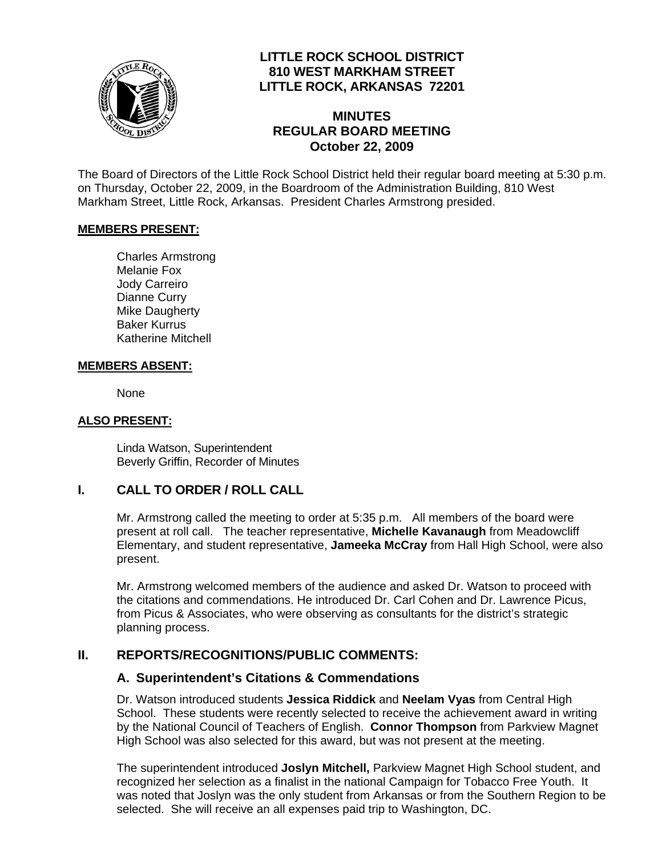

# **LITTLE ROCK SCHOOL DISTRICT 810 WEST MARKHAM STREET LITTLE ROCK, ARKANSAS 72201**

# **MINUTES REGULAR BOARD MEETING October 22, 2009**

The Board of Directors of the Little Rock School District held their regular board meeting at 5:30 p.m. on Thursday, October 22, 2009, in the Boardroom of the Administration Building, 810 West Markham Street, Little Rock, Arkansas. President Charles Armstrong presided.

#### **MEMBERS PRESENT:**

Charles Armstrong Melanie Fox Jody Carreiro Dianne Curry Mike Daugherty Baker Kurrus Katherine Mitchell

#### **MEMBERS ABSENT:**

None

### **ALSO PRESENT:**

 Linda Watson, Superintendent Beverly Griffin, Recorder of Minutes

## **I. CALL TO ORDER / ROLL CALL**

Mr. Armstrong called the meeting to order at 5:35 p.m. All members of the board were present at roll call. The teacher representative, **Michelle Kavanaugh** from Meadowcliff Elementary, and student representative, **Jameeka McCray** from Hall High School, were also present.

Mr. Armstrong welcomed members of the audience and asked Dr. Watson to proceed with the citations and commendations. He introduced Dr. Carl Cohen and Dr. Lawrence Picus, from Picus & Associates, who were observing as consultants for the district's strategic planning process.

## **II. REPORTS/RECOGNITIONS/PUBLIC COMMENTS:**

## **A. Superintendent's Citations & Commendations**

Dr. Watson introduced students **Jessica Riddick** and **Neelam Vyas** from Central High School. These students were recently selected to receive the achievement award in writing by the National Council of Teachers of English. **Connor Thompson** from Parkview Magnet High School was also selected for this award, but was not present at the meeting.

The superintendent introduced **Joslyn Mitchell,** Parkview Magnet High School student, and recognized her selection as a finalist in the national Campaign for Tobacco Free Youth. It was noted that Joslyn was the only student from Arkansas or from the Southern Region to be selected. She will receive an all expenses paid trip to Washington, DC.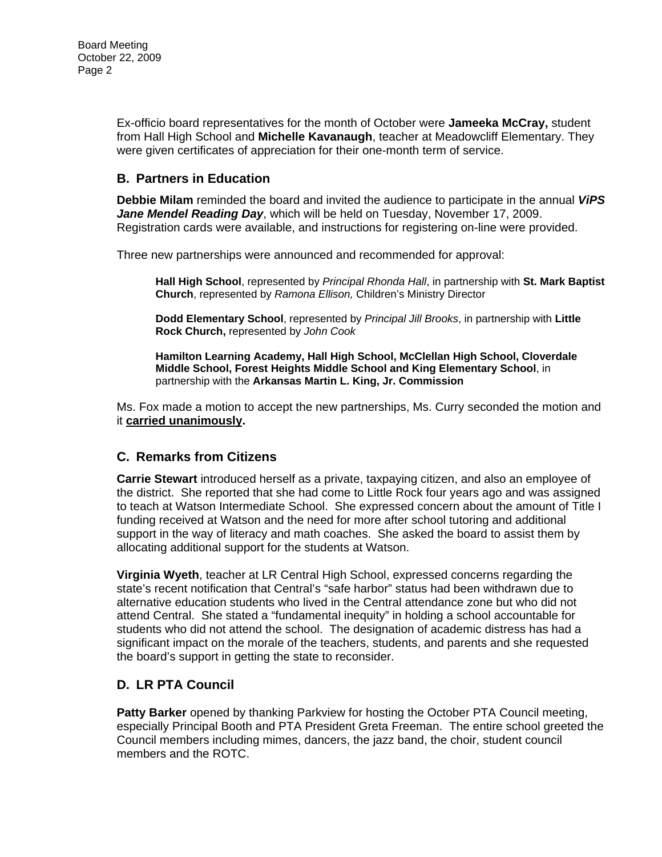Ex-officio board representatives for the month of October were **Jameeka McCray,** student from Hall High School and **Michelle Kavanaugh**, teacher at Meadowcliff Elementary. They were given certificates of appreciation for their one-month term of service.

## **B. Partners in Education**

**Debbie Milam** reminded the board and invited the audience to participate in the annual *ViPS Jane Mendel Reading Day*, which will be held on Tuesday, November 17, 2009. Registration cards were available, and instructions for registering on-line were provided.

Three new partnerships were announced and recommended for approval:

**Hall High School**, represented by *Principal Rhonda Hall*, in partnership with **St. Mark Baptist Church**, represented by *Ramona Ellison,* Children's Ministry Director

**Dodd Elementary School**, represented by *Principal Jill Brooks*, in partnership with **Little Rock Church,** represented by *John Cook*

**Hamilton Learning Academy, Hall High School, McClellan High School, Cloverdale Middle School, Forest Heights Middle School and King Elementary School**, in partnership with the **Arkansas Martin L. King, Jr. Commission**

Ms. Fox made a motion to accept the new partnerships, Ms. Curry seconded the motion and it **carried unanimously.**

## **C. Remarks from Citizens**

**Carrie Stewart** introduced herself as a private, taxpaying citizen, and also an employee of the district. She reported that she had come to Little Rock four years ago and was assigned to teach at Watson Intermediate School. She expressed concern about the amount of Title I funding received at Watson and the need for more after school tutoring and additional support in the way of literacy and math coaches. She asked the board to assist them by allocating additional support for the students at Watson.

**Virginia Wyeth**, teacher at LR Central High School, expressed concerns regarding the state's recent notification that Central's "safe harbor" status had been withdrawn due to alternative education students who lived in the Central attendance zone but who did not attend Central. She stated a "fundamental inequity" in holding a school accountable for students who did not attend the school. The designation of academic distress has had a significant impact on the morale of the teachers, students, and parents and she requested the board's support in getting the state to reconsider.

## **D. LR PTA Council**

**Patty Barker** opened by thanking Parkview for hosting the October PTA Council meeting, especially Principal Booth and PTA President Greta Freeman. The entire school greeted the Council members including mimes, dancers, the jazz band, the choir, student council members and the ROTC.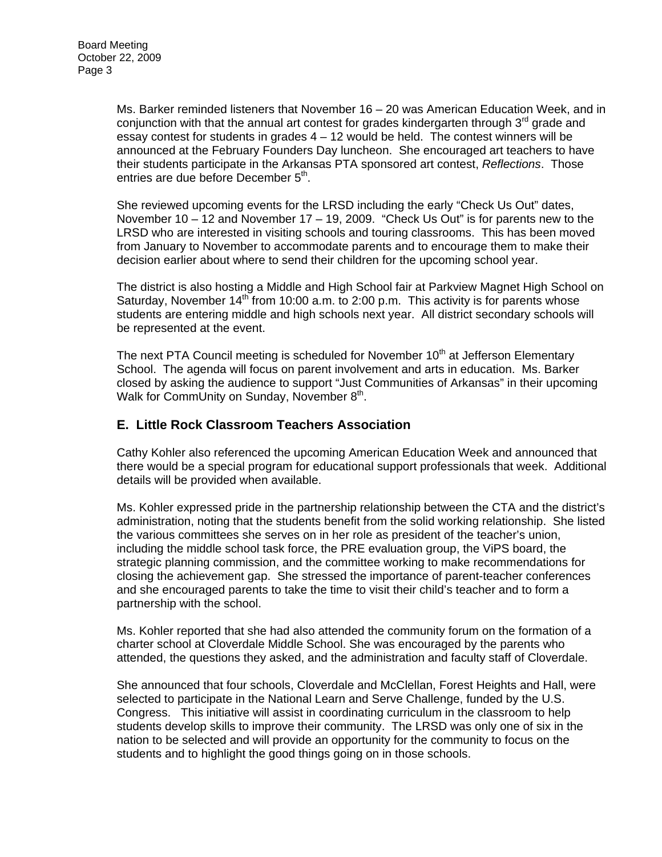Ms. Barker reminded listeners that November 16 – 20 was American Education Week, and in conjunction with that the annual art contest for grades kindergarten through  $3<sup>rd</sup>$  grade and essay contest for students in grades  $4 - 12$  would be held. The contest winners will be announced at the February Founders Day luncheon. She encouraged art teachers to have their students participate in the Arkansas PTA sponsored art contest, *Reflections*. Those entries are due before December 5<sup>th</sup>.

She reviewed upcoming events for the LRSD including the early "Check Us Out" dates, November 10 – 12 and November 17 – 19, 2009. "Check Us Out" is for parents new to the LRSD who are interested in visiting schools and touring classrooms. This has been moved from January to November to accommodate parents and to encourage them to make their decision earlier about where to send their children for the upcoming school year.

The district is also hosting a Middle and High School fair at Parkview Magnet High School on Saturday, November  $14<sup>th</sup>$  from 10:00 a.m. to 2:00 p.m. This activity is for parents whose students are entering middle and high schools next year. All district secondary schools will be represented at the event.

The next PTA Council meeting is scheduled for November  $10<sup>th</sup>$  at Jefferson Elementary School. The agenda will focus on parent involvement and arts in education. Ms. Barker closed by asking the audience to support "Just Communities of Arkansas" in their upcoming Walk for CommUnity on Sunday, November 8<sup>th</sup>.

# **E. Little Rock Classroom Teachers Association**

Cathy Kohler also referenced the upcoming American Education Week and announced that there would be a special program for educational support professionals that week. Additional details will be provided when available.

Ms. Kohler expressed pride in the partnership relationship between the CTA and the district's administration, noting that the students benefit from the solid working relationship. She listed the various committees she serves on in her role as president of the teacher's union, including the middle school task force, the PRE evaluation group, the ViPS board, the strategic planning commission, and the committee working to make recommendations for closing the achievement gap. She stressed the importance of parent-teacher conferences and she encouraged parents to take the time to visit their child's teacher and to form a partnership with the school.

Ms. Kohler reported that she had also attended the community forum on the formation of a charter school at Cloverdale Middle School. She was encouraged by the parents who attended, the questions they asked, and the administration and faculty staff of Cloverdale.

She announced that four schools, Cloverdale and McClellan, Forest Heights and Hall, were selected to participate in the National Learn and Serve Challenge, funded by the U.S. Congress. This initiative will assist in coordinating curriculum in the classroom to help students develop skills to improve their community. The LRSD was only one of six in the nation to be selected and will provide an opportunity for the community to focus on the students and to highlight the good things going on in those schools.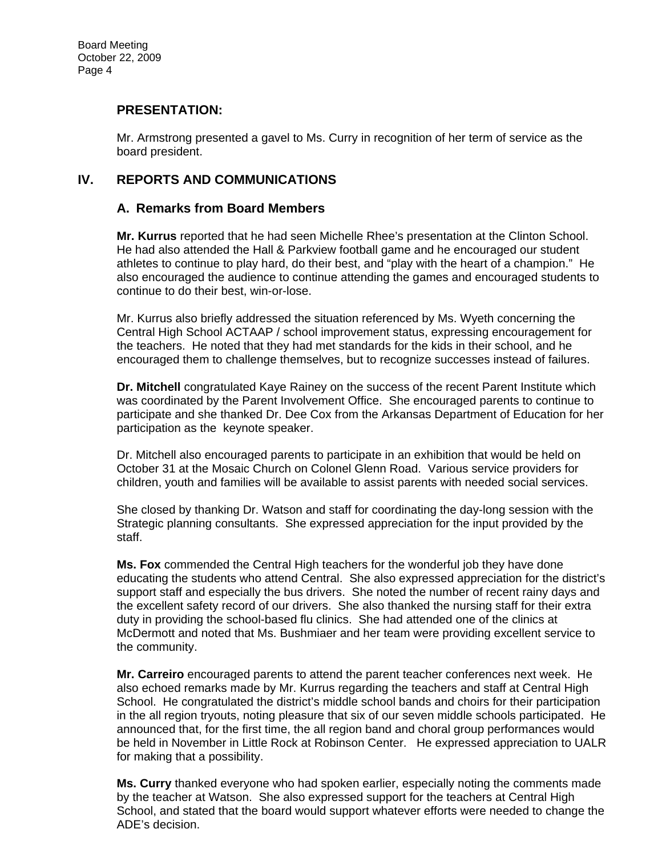## **PRESENTATION:**

Mr. Armstrong presented a gavel to Ms. Curry in recognition of her term of service as the board president.

### **IV. REPORTS AND COMMUNICATIONS**

### **A. Remarks from Board Members**

**Mr. Kurrus** reported that he had seen Michelle Rhee's presentation at the Clinton School. He had also attended the Hall & Parkview football game and he encouraged our student athletes to continue to play hard, do their best, and "play with the heart of a champion." He also encouraged the audience to continue attending the games and encouraged students to continue to do their best, win-or-lose.

Mr. Kurrus also briefly addressed the situation referenced by Ms. Wyeth concerning the Central High School ACTAAP / school improvement status, expressing encouragement for the teachers. He noted that they had met standards for the kids in their school, and he encouraged them to challenge themselves, but to recognize successes instead of failures.

**Dr. Mitchell** congratulated Kaye Rainey on the success of the recent Parent Institute which was coordinated by the Parent Involvement Office. She encouraged parents to continue to participate and she thanked Dr. Dee Cox from the Arkansas Department of Education for her participation as the keynote speaker.

Dr. Mitchell also encouraged parents to participate in an exhibition that would be held on October 31 at the Mosaic Church on Colonel Glenn Road. Various service providers for children, youth and families will be available to assist parents with needed social services.

She closed by thanking Dr. Watson and staff for coordinating the day-long session with the Strategic planning consultants. She expressed appreciation for the input provided by the staff.

**Ms. Fox** commended the Central High teachers for the wonderful job they have done educating the students who attend Central. She also expressed appreciation for the district's support staff and especially the bus drivers. She noted the number of recent rainy days and the excellent safety record of our drivers. She also thanked the nursing staff for their extra duty in providing the school-based flu clinics. She had attended one of the clinics at McDermott and noted that Ms. Bushmiaer and her team were providing excellent service to the community.

**Mr. Carreiro** encouraged parents to attend the parent teacher conferences next week. He also echoed remarks made by Mr. Kurrus regarding the teachers and staff at Central High School. He congratulated the district's middle school bands and choirs for their participation in the all region tryouts, noting pleasure that six of our seven middle schools participated. He announced that, for the first time, the all region band and choral group performances would be held in November in Little Rock at Robinson Center. He expressed appreciation to UALR for making that a possibility.

**Ms. Curry** thanked everyone who had spoken earlier, especially noting the comments made by the teacher at Watson. She also expressed support for the teachers at Central High School, and stated that the board would support whatever efforts were needed to change the ADE's decision.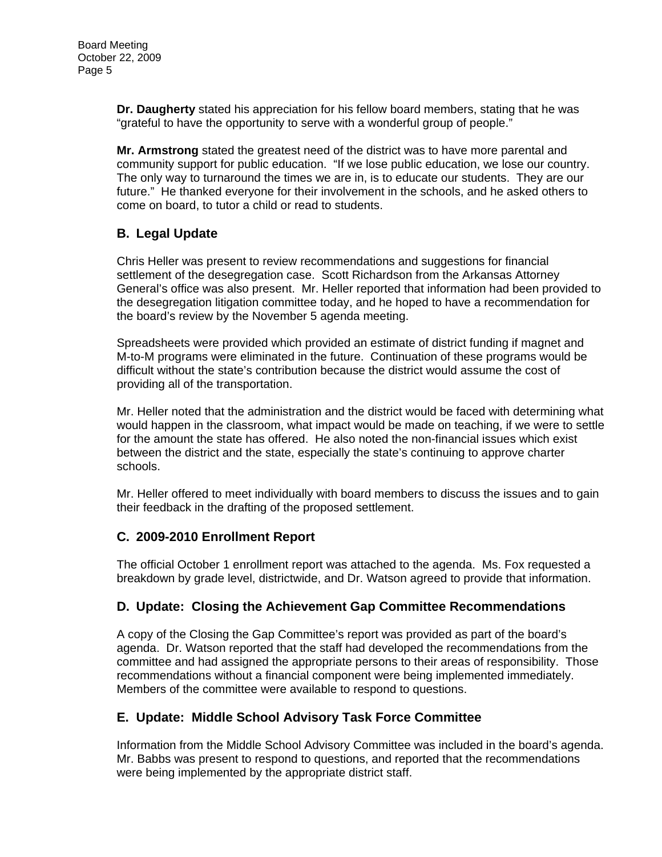**Dr. Daugherty** stated his appreciation for his fellow board members, stating that he was "grateful to have the opportunity to serve with a wonderful group of people."

**Mr. Armstrong** stated the greatest need of the district was to have more parental and community support for public education. "If we lose public education, we lose our country. The only way to turnaround the times we are in, is to educate our students. They are our future." He thanked everyone for their involvement in the schools, and he asked others to come on board, to tutor a child or read to students.

# **B. Legal Update**

Chris Heller was present to review recommendations and suggestions for financial settlement of the desegregation case. Scott Richardson from the Arkansas Attorney General's office was also present. Mr. Heller reported that information had been provided to the desegregation litigation committee today, and he hoped to have a recommendation for the board's review by the November 5 agenda meeting.

Spreadsheets were provided which provided an estimate of district funding if magnet and M-to-M programs were eliminated in the future. Continuation of these programs would be difficult without the state's contribution because the district would assume the cost of providing all of the transportation.

Mr. Heller noted that the administration and the district would be faced with determining what would happen in the classroom, what impact would be made on teaching, if we were to settle for the amount the state has offered. He also noted the non-financial issues which exist between the district and the state, especially the state's continuing to approve charter schools.

Mr. Heller offered to meet individually with board members to discuss the issues and to gain their feedback in the drafting of the proposed settlement.

## **C. 2009-2010 Enrollment Report**

The official October 1 enrollment report was attached to the agenda. Ms. Fox requested a breakdown by grade level, districtwide, and Dr. Watson agreed to provide that information.

## **D. Update: Closing the Achievement Gap Committee Recommendations**

A copy of the Closing the Gap Committee's report was provided as part of the board's agenda. Dr. Watson reported that the staff had developed the recommendations from the committee and had assigned the appropriate persons to their areas of responsibility. Those recommendations without a financial component were being implemented immediately. Members of the committee were available to respond to questions.

## **E. Update: Middle School Advisory Task Force Committee**

Information from the Middle School Advisory Committee was included in the board's agenda. Mr. Babbs was present to respond to questions, and reported that the recommendations were being implemented by the appropriate district staff.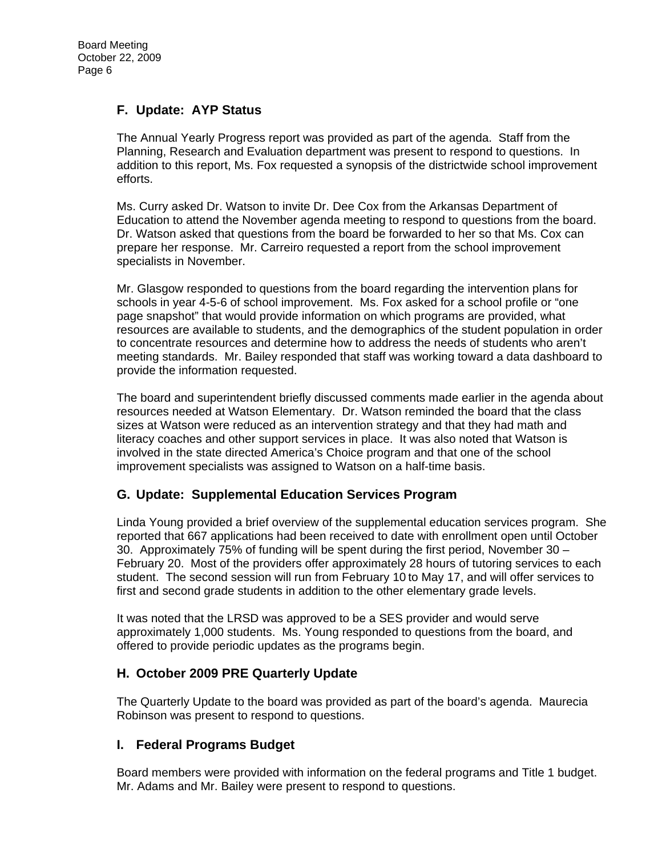# **F. Update: AYP Status**

The Annual Yearly Progress report was provided as part of the agenda. Staff from the Planning, Research and Evaluation department was present to respond to questions. In addition to this report, Ms. Fox requested a synopsis of the districtwide school improvement efforts.

Ms. Curry asked Dr. Watson to invite Dr. Dee Cox from the Arkansas Department of Education to attend the November agenda meeting to respond to questions from the board. Dr. Watson asked that questions from the board be forwarded to her so that Ms. Cox can prepare her response. Mr. Carreiro requested a report from the school improvement specialists in November.

Mr. Glasgow responded to questions from the board regarding the intervention plans for schools in year 4-5-6 of school improvement. Ms. Fox asked for a school profile or "one page snapshot" that would provide information on which programs are provided, what resources are available to students, and the demographics of the student population in order to concentrate resources and determine how to address the needs of students who aren't meeting standards. Mr. Bailey responded that staff was working toward a data dashboard to provide the information requested.

The board and superintendent briefly discussed comments made earlier in the agenda about resources needed at Watson Elementary. Dr. Watson reminded the board that the class sizes at Watson were reduced as an intervention strategy and that they had math and literacy coaches and other support services in place. It was also noted that Watson is involved in the state directed America's Choice program and that one of the school improvement specialists was assigned to Watson on a half-time basis.

## **G. Update: Supplemental Education Services Program**

Linda Young provided a brief overview of the supplemental education services program. She reported that 667 applications had been received to date with enrollment open until October 30. Approximately 75% of funding will be spent during the first period, November 30 – February 20. Most of the providers offer approximately 28 hours of tutoring services to each student. The second session will run from February 10 to May 17, and will offer services to first and second grade students in addition to the other elementary grade levels.

It was noted that the LRSD was approved to be a SES provider and would serve approximately 1,000 students. Ms. Young responded to questions from the board, and offered to provide periodic updates as the programs begin.

## **H. October 2009 PRE Quarterly Update**

The Quarterly Update to the board was provided as part of the board's agenda. Maurecia Robinson was present to respond to questions.

## **I. Federal Programs Budget**

Board members were provided with information on the federal programs and Title 1 budget. Mr. Adams and Mr. Bailey were present to respond to questions.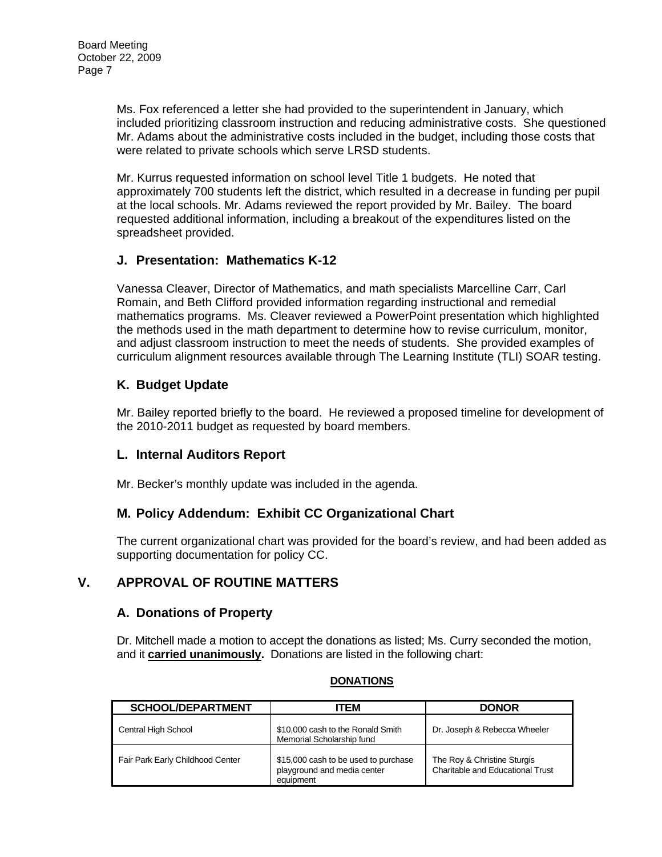Ms. Fox referenced a letter she had provided to the superintendent in January, which included prioritizing classroom instruction and reducing administrative costs. She questioned Mr. Adams about the administrative costs included in the budget, including those costs that were related to private schools which serve LRSD students.

Mr. Kurrus requested information on school level Title 1 budgets. He noted that approximately 700 students left the district, which resulted in a decrease in funding per pupil at the local schools. Mr. Adams reviewed the report provided by Mr. Bailey. The board requested additional information, including a breakout of the expenditures listed on the spreadsheet provided.

# **J. Presentation: Mathematics K-12**

Vanessa Cleaver, Director of Mathematics, and math specialists Marcelline Carr, Carl Romain, and Beth Clifford provided information regarding instructional and remedial mathematics programs. Ms. Cleaver reviewed a PowerPoint presentation which highlighted the methods used in the math department to determine how to revise curriculum, monitor, and adjust classroom instruction to meet the needs of students. She provided examples of curriculum alignment resources available through The Learning Institute (TLI) SOAR testing.

# **K. Budget Update**

Mr. Bailey reported briefly to the board. He reviewed a proposed timeline for development of the 2010-2011 budget as requested by board members.

## **L. Internal Auditors Report**

Mr. Becker's monthly update was included in the agenda.

# **M. Policy Addendum: Exhibit CC Organizational Chart**

The current organizational chart was provided for the board's review, and had been added as supporting documentation for policy CC.

# **V. APPROVAL OF ROUTINE MATTERS**

## **A. Donations of Property**

Dr. Mitchell made a motion to accept the donations as listed; Ms. Curry seconded the motion, and it **carried unanimously.** Donations are listed in the following chart:

| <b>SCHOOL/DEPARTMENT</b>         | ITEM                                                                             | <b>DONOR</b>                                                    |
|----------------------------------|----------------------------------------------------------------------------------|-----------------------------------------------------------------|
| Central High School              | \$10,000 cash to the Ronald Smith<br>Memorial Scholarship fund                   | Dr. Joseph & Rebecca Wheeler                                    |
| Fair Park Early Childhood Center | \$15,000 cash to be used to purchase<br>playground and media center<br>equipment | The Roy & Christine Sturgis<br>Charitable and Educational Trust |

#### **DONATIONS**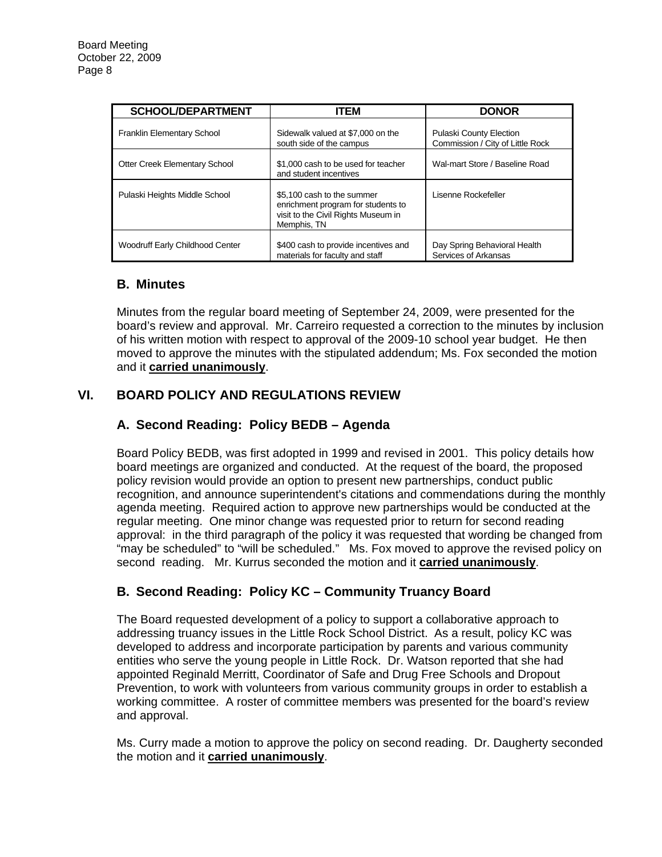| <b>SCHOOL/DEPARTMENT</b>             | <b>ITEM</b>                                                                                                            | <b>DONOR</b>                                                       |
|--------------------------------------|------------------------------------------------------------------------------------------------------------------------|--------------------------------------------------------------------|
| <b>Franklin Elementary School</b>    | Sidewalk valued at \$7,000 on the<br>south side of the campus                                                          | <b>Pulaski County Election</b><br>Commission / City of Little Rock |
| <b>Otter Creek Elementary School</b> | \$1,000 cash to be used for teacher<br>and student incentives                                                          | Wal-mart Store / Baseline Road                                     |
| Pulaski Heights Middle School        | \$5,100 cash to the summer<br>enrichment program for students to<br>visit to the Civil Rights Museum in<br>Memphis, TN | Lisenne Rockefeller                                                |
| Woodruff Early Childhood Center      | \$400 cash to provide incentives and<br>materials for faculty and staff                                                | Day Spring Behavioral Health<br>Services of Arkansas               |

## **B. Minutes**

Minutes from the regular board meeting of September 24, 2009, were presented for the board's review and approval. Mr. Carreiro requested a correction to the minutes by inclusion of his written motion with respect to approval of the 2009-10 school year budget. He then moved to approve the minutes with the stipulated addendum; Ms. Fox seconded the motion and it **carried unanimously**.

# **VI. BOARD POLICY AND REGULATIONS REVIEW**

# **A. Second Reading: Policy BEDB – Agenda**

Board Policy BEDB, was first adopted in 1999 and revised in 2001. This policy details how board meetings are organized and conducted. At the request of the board, the proposed policy revision would provide an option to present new partnerships, conduct public recognition, and announce superintendent's citations and commendations during the monthly agenda meeting. Required action to approve new partnerships would be conducted at the regular meeting. One minor change was requested prior to return for second reading approval: in the third paragraph of the policy it was requested that wording be changed from "may be scheduled" to "will be scheduled." Ms. Fox moved to approve the revised policy on second reading. Mr. Kurrus seconded the motion and it **carried unanimously**.

# **B. Second Reading: Policy KC – Community Truancy Board**

The Board requested development of a policy to support a collaborative approach to addressing truancy issues in the Little Rock School District. As a result, policy KC was developed to address and incorporate participation by parents and various community entities who serve the young people in Little Rock. Dr. Watson reported that she had appointed Reginald Merritt, Coordinator of Safe and Drug Free Schools and Dropout Prevention, to work with volunteers from various community groups in order to establish a working committee. A roster of committee members was presented for the board's review and approval.

Ms. Curry made a motion to approve the policy on second reading. Dr. Daugherty seconded the motion and it **carried unanimously**.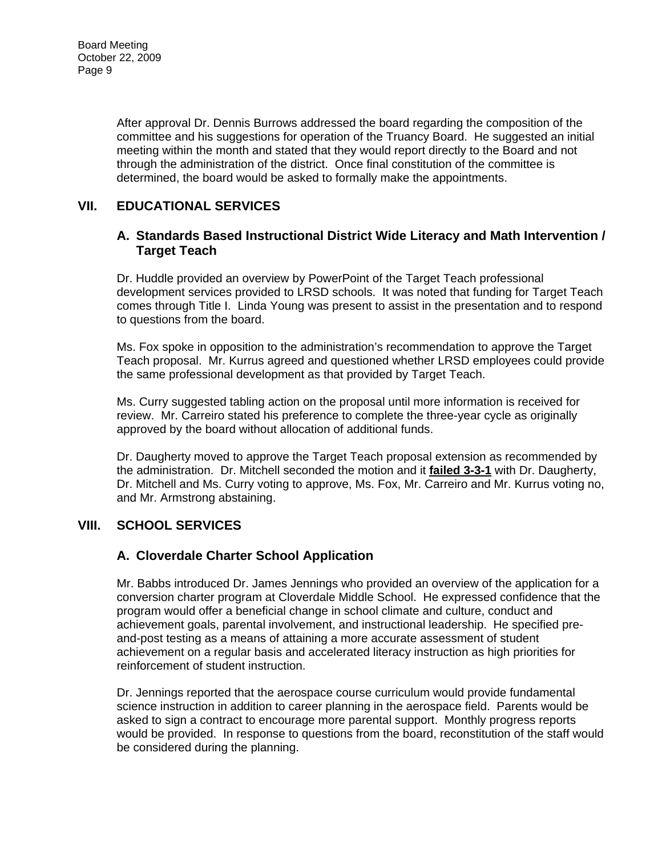After approval Dr. Dennis Burrows addressed the board regarding the composition of the committee and his suggestions for operation of the Truancy Board. He suggested an initial meeting within the month and stated that they would report directly to the Board and not through the administration of the district. Once final constitution of the committee is determined, the board would be asked to formally make the appointments.

# **VII. EDUCATIONAL SERVICES**

### **A. Standards Based Instructional District Wide Literacy and Math Intervention / Target Teach**

Dr. Huddle provided an overview by PowerPoint of the Target Teach professional development services provided to LRSD schools. It was noted that funding for Target Teach comes through Title I. Linda Young was present to assist in the presentation and to respond to questions from the board.

Ms. Fox spoke in opposition to the administration's recommendation to approve the Target Teach proposal. Mr. Kurrus agreed and questioned whether LRSD employees could provide the same professional development as that provided by Target Teach.

Ms. Curry suggested tabling action on the proposal until more information is received for review. Mr. Carreiro stated his preference to complete the three-year cycle as originally approved by the board without allocation of additional funds.

Dr. Daugherty moved to approve the Target Teach proposal extension as recommended by the administration. Dr. Mitchell seconded the motion and it **failed 3-3-1** with Dr. Daugherty, Dr. Mitchell and Ms. Curry voting to approve, Ms. Fox, Mr. Carreiro and Mr. Kurrus voting no, and Mr. Armstrong abstaining.

## **VIII. SCHOOL SERVICES**

## **A. Cloverdale Charter School Application**

Mr. Babbs introduced Dr. James Jennings who provided an overview of the application for a conversion charter program at Cloverdale Middle School. He expressed confidence that the program would offer a beneficial change in school climate and culture, conduct and achievement goals, parental involvement, and instructional leadership. He specified preand-post testing as a means of attaining a more accurate assessment of student achievement on a regular basis and accelerated literacy instruction as high priorities for reinforcement of student instruction.

Dr. Jennings reported that the aerospace course curriculum would provide fundamental science instruction in addition to career planning in the aerospace field. Parents would be asked to sign a contract to encourage more parental support. Monthly progress reports would be provided. In response to questions from the board, reconstitution of the staff would be considered during the planning.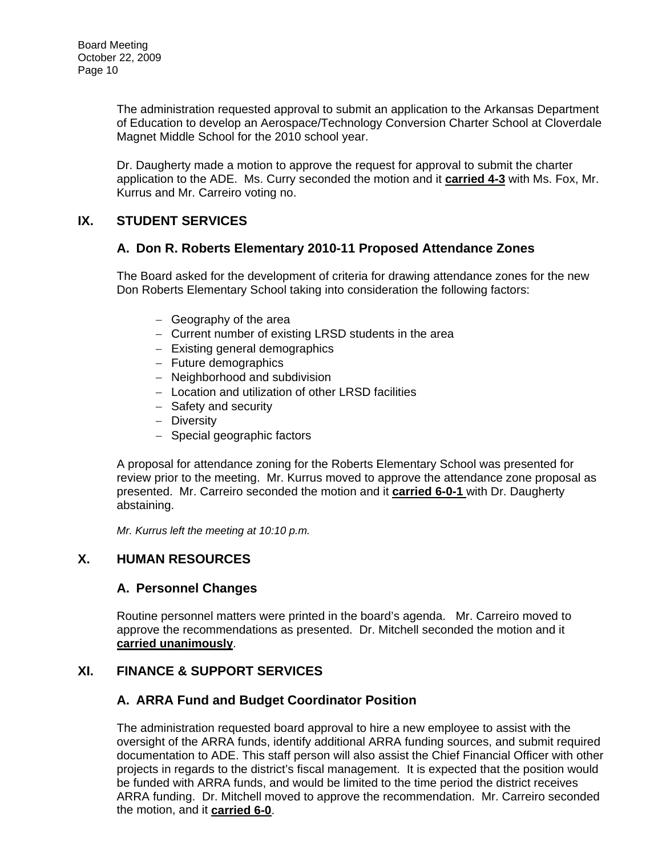The administration requested approval to submit an application to the Arkansas Department of Education to develop an Aerospace/Technology Conversion Charter School at Cloverdale Magnet Middle School for the 2010 school year.

Dr. Daugherty made a motion to approve the request for approval to submit the charter application to the ADE. Ms. Curry seconded the motion and it **carried 4-3** with Ms. Fox, Mr. Kurrus and Mr. Carreiro voting no.

# **IX. STUDENT SERVICES**

## **A. Don R. Roberts Elementary 2010-11 Proposed Attendance Zones**

The Board asked for the development of criteria for drawing attendance zones for the new Don Roberts Elementary School taking into consideration the following factors:

- − Geography of the area
- − Current number of existing LRSD students in the area
- − Existing general demographics
- − Future demographics
- − Neighborhood and subdivision
- − Location and utilization of other LRSD facilities
- − Safety and security
- − Diversity
- − Special geographic factors

A proposal for attendance zoning for the Roberts Elementary School was presented for review prior to the meeting. Mr. Kurrus moved to approve the attendance zone proposal as presented. Mr. Carreiro seconded the motion and it **carried 6-0-1** with Dr. Daugherty abstaining.

*Mr. Kurrus left the meeting at 10:10 p.m.* 

## **X. HUMAN RESOURCES**

#### **A. Personnel Changes**

Routine personnel matters were printed in the board's agenda. Mr. Carreiro moved to approve the recommendations as presented. Dr. Mitchell seconded the motion and it **carried unanimously**.

## **XI. FINANCE & SUPPORT SERVICES**

## **A. ARRA Fund and Budget Coordinator Position**

The administration requested board approval to hire a new employee to assist with the oversight of the ARRA funds, identify additional ARRA funding sources, and submit required documentation to ADE. This staff person will also assist the Chief Financial Officer with other projects in regards to the district's fiscal management. It is expected that the position would be funded with ARRA funds, and would be limited to the time period the district receives ARRA funding. Dr. Mitchell moved to approve the recommendation. Mr. Carreiro seconded the motion, and it **carried 6-0**.